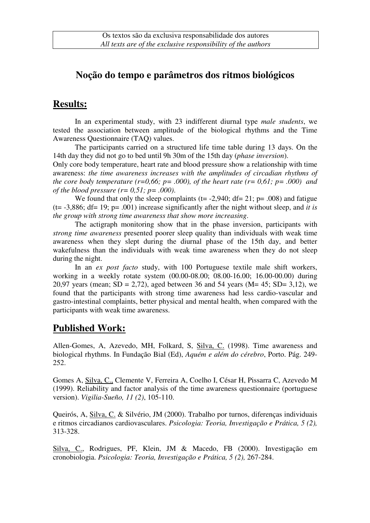## **Noção do tempo e parâmetros dos ritmos biológicos**

## **Results:**

In an experimental study, with 23 indifferent diurnal type *male students*, we tested the association between amplitude of the biological rhythms and the Time Awareness Questionnaire (TAQ) values.

The participants carried on a structured life time table during 13 days. On the 14th day they did not go to bed until 9h 30m of the 15th day (*phase inversion*).

Only core body temperature, heart rate and blood pressure show a relationship with time awareness: *the time awareness increases with the amplitudes of circadian rhythms of the core body temperature (r=0,66; p= .000), of the heart rate (r= 0,61; p= .000) and of the blood pressure (r= 0,51; p= .000)*.

We found that only the sleep complaints ( $t = -2,940$ ; df= 21;  $p = .008$ ) and fatigue (t= -3,886; df= 19; p= .001) increase significantly after the night without sleep, and *it is the group with strong time awareness that show more increasing*.

The actigraph monitoring show that in the phase inversion, participants with *strong time awareness* presented poorer sleep quality than individuals with weak time awareness when they slept during the diurnal phase of the 15th day, and better wakefulness than the individuals with weak time awareness when they do not sleep during the night.

In an *ex post facto* study, with 100 Portuguese textile male shift workers, working in a weekly rotate system (00.00-08.00; 08.00-16.00; 16.00-00.00) during 20,97 years (mean;  $SD = 2,72$ ), aged between 36 and 54 years (M= 45;  $SD = 3,12$ ), we found that the participants with strong time awareness had less cardio-vascular and gastro-intestinal complaints, better physical and mental health, when compared with the participants with weak time awareness.

## **Published Work:**

Allen-Gomes, A, Azevedo, MH, Folkard, S, Silva, C. (1998). Time awareness and biological rhythms. In Fundação Bial (Ed), *Aquém e além do cérebro*, Porto. Pág. 249- 252.

Gomes A, Silva, C., Clemente V, Ferreira A, Coelho I, César H, Pissarra C, Azevedo M (1999). Reliability and factor analysis of the time awareness questionnaire (portuguese version). *Vigilia-Sueño, 11 (2)*, 105-110.

Queirós, A, Silva, C. & Silvério, JM (2000). Trabalho por turnos, diferenças individuais e ritmos circadianos cardiovasculares. *Psicologia: Teoria, Investigação e Prática, 5 (2),* 313-328.

Silva, C., Rodrigues, PF, Klein, JM & Macedo, FB (2000). Investigação em cronobiologia. *Psicologia: Teoria, Investigação e Prática, 5 (2),* 267-284.